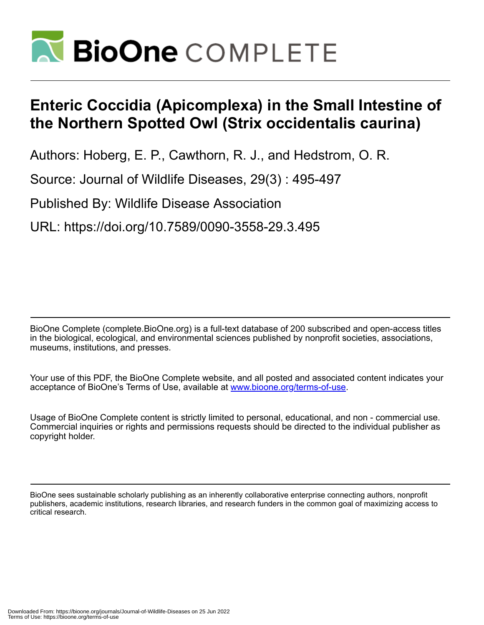

## **Enteric Coccidia (Apicomplexa) in the Small Intestine of the Northern Spotted Owl (Strix occidentalis caurina)**

Authors: Hoberg, E. P., Cawthorn, R. J., and Hedstrom, O. R.

Source: Journal of Wildlife Diseases, 29(3) : 495-497

Published By: Wildlife Disease Association

URL: https://doi.org/10.7589/0090-3558-29.3.495

BioOne Complete (complete.BioOne.org) is a full-text database of 200 subscribed and open-access titles in the biological, ecological, and environmental sciences published by nonprofit societies, associations, museums, institutions, and presses.

Your use of this PDF, the BioOne Complete website, and all posted and associated content indicates your acceptance of BioOne's Terms of Use, available at www.bioone.org/terms-of-use.

Usage of BioOne Complete content is strictly limited to personal, educational, and non - commercial use. Commercial inquiries or rights and permissions requests should be directed to the individual publisher as copyright holder.

BioOne sees sustainable scholarly publishing as an inherently collaborative enterprise connecting authors, nonprofit publishers, academic institutions, research libraries, and research funders in the common goal of maximizing access to critical research.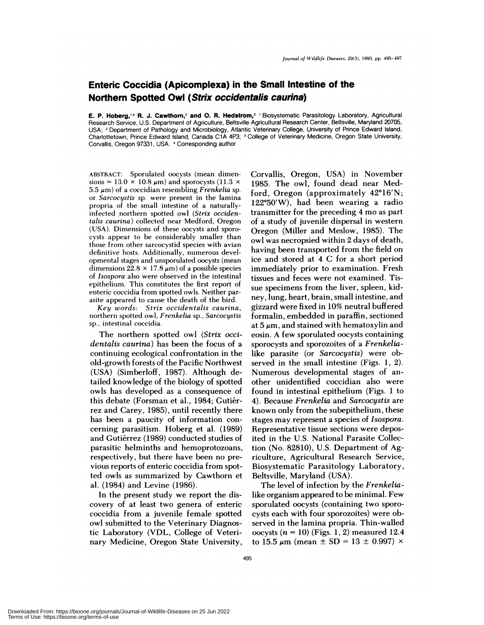## **Enteric Coccidia (Apicomplexa) in the Small Intestine of the Northern Spotted Owl (Strix occidentalis caurina)**

**E. P. Hoberg,'4 R. J. Cawthorn,2 and 0. R. Hedstrom,3** 'Biosystematic Parasitology Laboratory, Agricultural Research Service, U.S. Department of Agriculture, Beltsville Agricultural Research Center, Beltsville, Maryland 20705, USA; **<sup>2</sup>** Department of Pathology and Microbiology, Atlantic Veterinary College, University of Prince Edward Island, Charlottetown, Prince Edward Island, Canada C1A 4P3; <sup>3</sup> College of Veterinary Medicine, Oregon State University, Corvallis, Oregon 97331, USA. 4 Corresponding author

ABSTRACT: Sporulated oocysts (mean dimen sions =  $13.0 \times 10.8 \mu m$ ) and sporocysts (11.3  $\times$ 5.5  $\mu$ m) of a coccidian resembling *Frenkelia* sp. or *Sarcocystis* sp. were present in the lamina **propria of** the small intestine of a naturallyinfected northern spotted owl *(Strix occidentalis caurina)* collected near Medford, Oregon (USA). Dimensions of these oocysts and sporocysts appear to be considerably smaller than those from other sarcocystid species with avian definitive hosts. Additionally, numerous devel opmental stages and unsporulated oocysts (mean dimensions  $22.8 \times 17.8 \,\mu\text{m}$  of a possible species of *Isospora* also were observed in the intestinal epithelium. This constitutes the first report of enteric coccidia from spotted owls. Neither par asite appeared to cause the death of the bird.

*Key words: Strix occidentalis caurina,* northern spotted owl, *Frenkelia* sp., *Sarcocystis* sp., intestinal coccidia.

The northern spotted owl *(Strix occidentalis caurina)* has been the focus of a continuing ecological confrontation in the old-growth forests of the Pacific Northwest (USA) (Simberloff, 1987). Although detailed knowledge of the biology of spotted owls has developed as a consequence of this debate (Forsman et al., 1984; Gutiérrez and Carey, 1985), until recently there has been a paucity of information con cerning parasitism. Hoberg et a!. (1989) and Gutiérrez (1989) conducted studies of parasitic helminths and hemoprotozoans, respectively, but there have been no previous reports of enteric coccidia from spotted owls as summarized by Cawthorn et a!. (1984) and Levine (1986).

In the present study we report the discovery of at least two genera of enteric coccidia from a juvenile female spotted owl submitted to the Veterinary Diagnostic Laboratory (VDL, College of Veterinary Medicine, Oregon State University,

Corvallis, Oregon, USA) in November 1985. The owl, found dead near Medford, Oregon (approximately  $42^{\circ}16'N$ ;  $122^{\circ}50'$ W), had been wearing a radio transmitter for the preceding 4 mo as part of a study of juvenile dispersal in western Oregon (Miller and Meslow, 1985). The owl was necropsied within 2 days of death, having been transported from the field on ice and stored at 4 C for a short period immediately prior to examination. Fresh tissues and feces were not examined. Tis sue specimens from the liver, spleen, kidney, lung, heart, brain, small intestine, and gizzard were fixed in 10% neutral buffered formalin, embedded in paraffin, sectioned at  $5 \mu m$ , and stained with hematoxylin and eosin. A few sporulated oocysts containing sporocysts and sporozoites of a *Frenkelia*like parasite (or *Sarcocystis)* were observed in the small intestine (Figs. 1, 2). Numerous developmental stages of an other unidentified coccidian also were found in intestinal epithelium (Figs. 1 to 4). Because *Frenkelia* and *Sarcocystis* are known only from the subepithelium, these stages may represent a species of *Isospora.* Representative tissue sections were deposited in the U.S. National Parasite Collection (No. 82810), U.S. Department of Agriculture, Agricultural Research Service, Biosystematic Parasitology Laboratory, Beltsville, Maryland (USA).

The level of infection by the *Frenkelia*like organism appeared to be minimal. Few sporulated oocysts (containing two sporocysts each with four sporozoites) were observed in the lamina propria. Thin-walled oocysts  $(n = 10)$  (Figs. 1, 2) measured 12.4 to 15.5  $\mu$ m (mean  $\pm$  SD = 13  $\pm$  0.997)  $\times$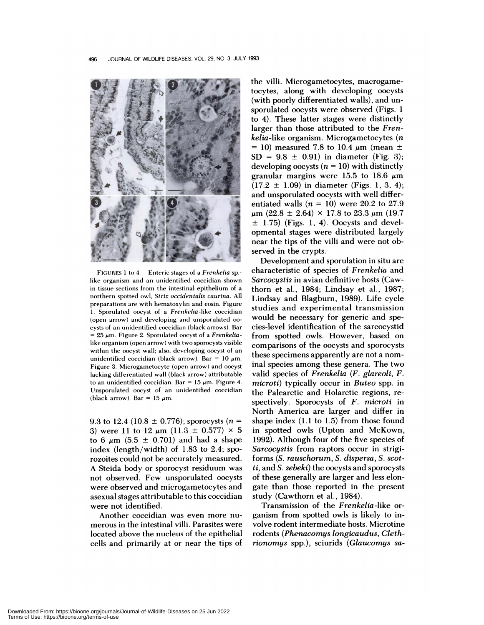

FIGURES 1 to 4. Enteric stages of a *Frenkelia* sp. like organism and an unidentified coccidian shown in tissue sections from the intestinal epithehium of a northern spotted owl, *Strix occidentalis caurina.* All preparations are with hematoxyhin and eosin. Figure 1. Sporulated oocyst of a *Frenkelia-like* coccidian (open arrow) and developing and unsporulated 00 cysts of an unidentified coccidian (black arrows). Bar **<sup>=</sup>** 25 m. Figure 2. Sporulated oocyst of a *Frenkelia*like organism (open arrow) with two sporocysts visible within the oocyst wall; also, developing oocyst of an unidentified coccidian (black arrow). Bar =  $10 \mu m$ . Figure 3. Microgametocyte (open arrow) and oocyst lacking differentiated wall (black arrow) attributable to an unidentified coccidian. Bar = 15  $\mu$ m. Figure 4. Unsporulated oocyst of an unidentified coccidian (black arrow). Bar =  $15 \mu m$ .

9.3 to 12.4 (10.8  $\pm$  0.776); sporocysts (n = 3) were 11 to 12  $\mu$ m (11.3  $\pm$  0.577)  $\times$  5 to 6  $\mu$ m (5.5  $\pm$  0.701) and had a shape index (length/width) of 1.83 to 2.4; sporozoites could not be accurately measured. A Steida body or sporocyst residuum was not observed. Few unsporulated oocysts were observed and microgametocytes and asexual stages attributable to this coccidian were not identified.

Another coccidian was even more nu merous in the intestinal villi. Parasites were located above the nucleus of the epithelial cells and primarily at or near the tips of

the villi. Microgametocytes, macrogametocytes, along with developing oocysts (with poorly differentiated walls), and un sporulated oocysts were observed (Figs. 1 to 4). These latter stages were distinctly larger than those attributed to the *Frenkelia-like* organism. Microgametocytes *(n* = 10) measured 7.8 to 10.4  $\mu$ m (mean  $\pm$  $SD = 9.8 \pm 0.91$  in diameter (Fig. 3); developing oocysts  $(n = 10)$  with distinctly granular margins were 15.5 to 18.6  $\mu$ m  $(17.2 \pm 1.09)$  in diameter (Figs. 1, 3, 4); and unsporulated oocysts with well differentiated walls  $(n = 10)$  were 20.2 to 27.9  $\mu$ m (22.8 ± 2.64) × 17.8 to 23.3  $\mu$ m (19.7  $\pm$  1.75) (Figs. 1, 4). Oocysts and developmental stages were distributed largely near the tips of the villi and were not observed in the crypts.

Development and sporulation in situ are characteristic of species of *Frenkelia* and *Sarcocystis* in avian definitive hosts (Cawthorn et a!., 1984; Lindsay et a!., 1987; Lindsay and Blagburn, 1989). Life cycle studies and experimental transmission would be necessary for generic and species-level identification of the sarcocystid from spotted owls. However, based on comparisons of the oocysts and sporocysts these specimens apparently are not a nominal species among these genera. The two valid species of *Frenkelia (F. glareoli, F. microti)* typically occur in *Buteo* spp. in the Palearctic and Holarctic regions, re spectively. Sporocysts of *F. microti* in North America are larger and differ in shape index (1.1 to 1.5) from those found in spotted owls (Upton and McKown, 1992). Although four of the five species of *Sarcocystis* from raptors occur in strigiforms *(S. rauschorum, S. dispersa, S. scotti,* and *S.sebeki)* the oocysts and sporocysts of these generally are larger and less elongate than those reported in the present study (Cawthorn et al., 1984).

Transmission of the *Frenkelia-like* or ganism from spotted owls is likely to involve rodent intermediate hosts. Microtine rodents *(Phenacomys longicaudus, Clethrionomys* spp.), sciurids *(Glaucomys sa-*